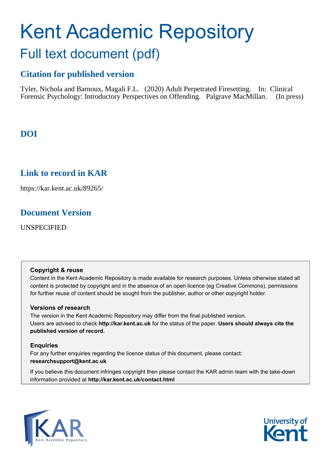# Kent Academic Repository Full text document (pdf)

# **Citation for published version**

Tyler, Nichola and Barnoux, Magali F.L. (2020) Adult Perpetrated Firesetting. In: Clinical Forensic Psychology: Introductory Perspectives on Offending. Palgrave MacMillan. (In press)

# **DOI**

# **Link to record in KAR**

https://kar.kent.ac.uk/89265/

# **Document Version**

UNSPECIFIED

# **Copyright & reuse**

Content in the Kent Academic Repository is made available for research purposes. Unless otherwise stated all content is protected by copyright and in the absence of an open licence (eg Creative Commons), permissions for further reuse of content should be sought from the publisher, author or other copyright holder.

# **Versions of research**

The version in the Kent Academic Repository may differ from the final published version. Users are advised to check **http://kar.kent.ac.uk** for the status of the paper. **Users should always cite the published version of record.**

# **Enquiries**

For any further enquiries regarding the licence status of this document, please contact: **researchsupport@kent.ac.uk**

If you believe this document infringes copyright then please contact the KAR admin team with the take-down information provided at **http://kar.kent.ac.uk/contact.html**



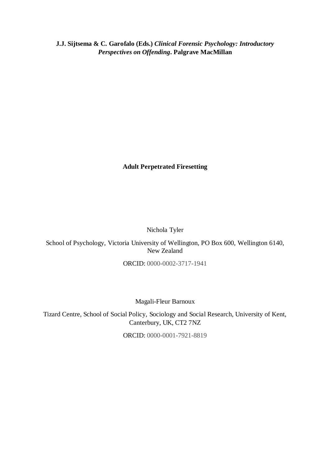**J.J. Sijtsema & C. Garofalo (Eds.)** *Clinical Forensic Psychology: Introductory Perspectives on Offending***. Palgrave MacMillan**

**Adult Perpetrated Firesetting**

Nichola Tyler

School of Psychology, Victoria University of Wellington, PO Box 600, Wellington 6140, New Zealand

ORCID: 0000-0002-3717-1941

Magali-Fleur Barnoux

Tizard Centre, School of Social Policy, Sociology and Social Research, University of Kent, Canterbury, UK, CT2 7NZ

ORCID: 0000-0001-7921-8819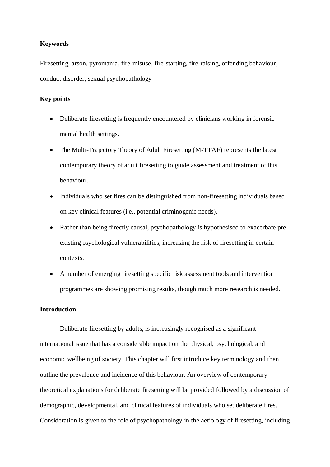# **Keywords**

Firesetting, arson, pyromania, fire-misuse, fire-starting, fire-raising, offending behaviour, conduct disorder, sexual psychopathology

# **Key points**

- Deliberate firesetting is frequently encountered by clinicians working in forensic mental health settings.
- The Multi-Trajectory Theory of Adult Firesetting (M-TTAF) represents the latest contemporary theory of adult firesetting to guide assessment and treatment of this behaviour.
- Individuals who set fires can be distinguished from non-firesetting individuals based on key clinical features (i.e., potential criminogenic needs).
- Rather than being directly causal, psychopathology is hypothesised to exacerbate preexisting psychological vulnerabilities, increasing the risk of firesetting in certain contexts.
- A number of emerging firesetting specific risk assessment tools and intervention programmes are showing promising results, though much more research is needed.

## **Introduction**

Deliberate firesetting by adults, is increasingly recognised as a significant international issue that has a considerable impact on the physical, psychological, and economic wellbeing of society. This chapter will first introduce key terminology and then outline the prevalence and incidence of this behaviour. An overview of contemporary theoretical explanations for deliberate firesetting will be provided followed by a discussion of demographic, developmental, and clinical features of individuals who set deliberate fires. Consideration is given to the role of psychopathology in the aetiology of firesetting, including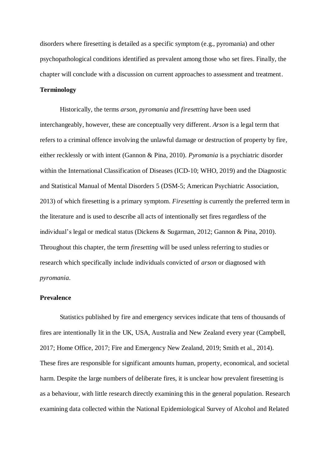disorders where firesetting is detailed as a specific symptom (e.g., pyromania) and other psychopathological conditions identified as prevalent among those who set fires. Finally, the chapter will conclude with a discussion on current approaches to assessment and treatment.

# **Terminology**

Historically, the terms *arson*, *pyromania* and *firesetting* have been used interchangeably, however, these are conceptually very different. *Arson* is a legal term that refers to a criminal offence involving the unlawful damage or destruction of property by fire, either recklessly or with intent (Gannon & Pina, 2010). *Pyromania* is a psychiatric disorder within the International Classification of Diseases (ICD-10; WHO, 2019) and the Diagnostic and Statistical Manual of Mental Disorders 5 (DSM-5; American Psychiatric Association, 2013) of which firesetting is a primary symptom. *Firesetting* is currently the preferred term in the literature and is used to describe all acts of intentionally set fires regardless of the individual's legal or medical status (Dickens & Sugarman, 2012; Gannon & Pina, 2010). Throughout this chapter, the term *firesetting* will be used unless referring to studies or research which specifically include individuals convicted of *arson* or diagnosed with *pyromania*.

#### **Prevalence**

Statistics published by fire and emergency services indicate that tens of thousands of fires are intentionally lit in the UK, USA, Australia and New Zealand every year (Campbell, 2017; Home Office, 2017; Fire and Emergency New Zealand, 2019; Smith et al., 2014). These fires are responsible for significant amounts human, property, economical, and societal harm. Despite the large numbers of deliberate fires, it is unclear how prevalent firesetting is as a behaviour, with little research directly examining this in the general population. Research examining data collected within the National Epidemiological Survey of Alcohol and Related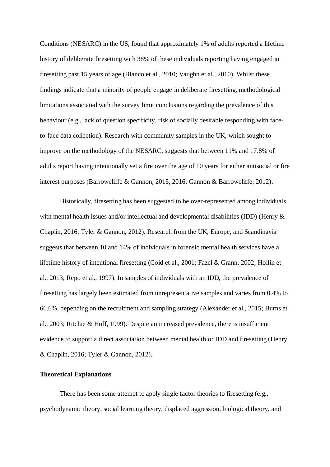Conditions (NESARC) in the US, found that approximately 1% of adults reported a lifetime history of deliberate firesetting with 38% of these individuals reporting having engaged in firesetting past 15 years of age (Blanco et al., 2010; Vaughn et al., 2010). Whilst these findings indicate that a minority of people engage in deliberate firesetting, methodological limitations associated with the survey limit conclusions regarding the prevalence of this behaviour (e.g., lack of question specificity, risk of socially desirable responding with faceto-face data collection). Research with community samples in the UK, which sought to improve on the methodology of the NESARC, suggests that between 11% and 17.8% of adults report having intentionally set a fire over the age of 10 years for either antisocial or fire interest purposes (Barrowcliffe & Gannon, 2015, 2016; Gannon & Barrowcliffe, 2012).

Historically, firesetting has been suggested to be over-represented among individuals with mental health issues and/or intellectual and developmental disabilities (IDD) (Henry & Chaplin, 2016; Tyler & Gannon, 2012). Research from the UK, Europe, and Scandinavia suggests that between 10 and 14% of individuals in forensic mental health services have a lifetime history of intentional firesetting (Coid et al., 2001; Fazel & Grann, 2002; Hollin et al., 2013; Repo et al., 1997). In samples of individuals with an IDD, the prevalence of firesetting has largely been estimated from unrepresentative samples and varies from 0.4% to 66.6%, depending on the recruitment and sampling strategy (Alexander et al., 2015; Burns et al., 2003; Ritchie & Huff, 1999). Despite an increased prevalence, there is insufficient evidence to support a direct association between mental health or IDD and firesetting (Henry & Chaplin, 2016; Tyler & Gannon, 2012).

# **Theoretical Explanations**

There has been some attempt to apply single factor theories to firesetting (e.g., psychodynamic theory, social learning theory, displaced aggression, biological theory, and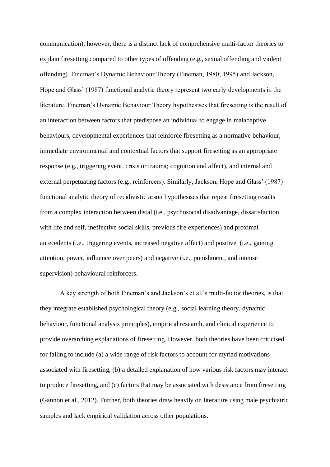communication), however, there is a distinct lack of comprehensive multi-factor theories to explain firesetting compared to other types of offending (e.g., sexual offending and violent offending). Fineman's Dynamic Behaviour Theory (Fineman, 1980; 1995) and Jackson, Hope and Glass' (1987) functional analytic theory represent two early developments in the literature. Fineman's Dynamic Behaviour Theory hypothesises that firesetting is the result of an interaction between factors that predispose an individual to engage in maladaptive behaviours, developmental experiences that reinforce firesetting as a normative behaviour, immediate environmental and contextual factors that support firesetting as an appropriate response (e.g., triggering event, crisis or trauma; cognition and affect), and internal and external perpetuating factors (e.g., reinforcers). Similarly, Jackson, Hope and Glass' (1987) functional analytic theory of recidivistic arson hypothesises that repeat firesetting results from a complex interaction between distal (i.e., psychosocial disadvantage, dissatisfaction with life and self, ineffective social skills, previous fire experiences) and proximal antecedents (i.e., triggering events, increased negative affect) and positive (i.e., gaining attention, power, influence over peers) and negative (i.e., punishment, and intense supervision) behavioural reinforcers.

A key strength of both Fineman's and Jackson's et al.'s multi-factor theories, is that they integrate established psychological theory (e.g., social learning theory, dynamic behaviour, functional analysis principles), empirical research, and clinical experience to provide overarching explanations of firesetting. However, both theories have been criticised for failing to include (a) a wide range of risk factors to account for myriad motivations associated with firesetting, (b) a detailed explanation of how various risk factors may interact to produce firesetting, and (c) factors that may be associated with desistance from firesetting (Gannon et al., 2012). Further, both theories draw heavily on literature using male psychiatric samples and lack empirical validation across other populations.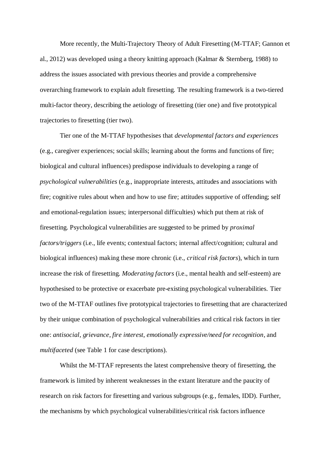More recently, the Multi-Trajectory Theory of Adult Firesetting (M-TTAF; Gannon et al., 2012) was developed using a theory knitting approach (Kalmar & Sternberg, 1988) to address the issues associated with previous theories and provide a comprehensive overarching framework to explain adult firesetting. The resulting framework is a two-tiered multi-factor theory, describing the aetiology of firesetting (tier one) and five prototypical trajectories to firesetting (tier two).

Tier one of the M-TTAF hypothesises that *developmental factors and experiences* (e.g., caregiver experiences; social skills; learning about the forms and functions of fire; biological and cultural influences) predispose individuals to developing a range of *psychological vulnerabilities* (e.g., inappropriate interests, attitudes and associations with fire; cognitive rules about when and how to use fire; attitudes supportive of offending; self and emotional-regulation issues; interpersonal difficulties) which put them at risk of firesetting. Psychological vulnerabilities are suggested to be primed by *proximal factors/triggers* (i.e., life events; contextual factors; internal affect/cognition; cultural and biological influences) making these more chronic (i.e., *critical risk factors*), which in turn increase the risk of firesetting. *Moderating factors* (i.e., mental health and self-esteem) are hypothesised to be protective or exacerbate pre-existing psychological vulnerabilities. Tier two of the M-TTAF outlines five prototypical trajectories to firesetting that are characterized by their unique combination of psychological vulnerabilities and critical risk factors in tier one: *antisocial*, *grievance*, *fire interest*, *emotionally expressive/need for recognition*, and *multifaceted* (see Table 1 for case descriptions).

Whilst the M-TTAF represents the latest comprehensive theory of firesetting, the framework is limited by inherent weaknesses in the extant literature and the paucity of research on risk factors for firesetting and various subgroups (e.g., females, IDD). Further, the mechanisms by which psychological vulnerabilities/critical risk factors influence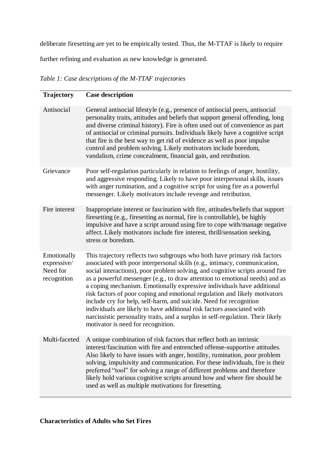deliberate firesetting are yet to be empirically tested. Thus, the M-TTAF is likely to require

further refining and evaluation as new knowledge is generated.

*Table 1: Case descriptions of the M-TTAF trajectories*

| <b>Trajectory</b>                                     | <b>Case description</b>                                                                                                                                                                                                                                                                                                                                                                                                                                                                                                                                                                                                                                                                                                                                 |
|-------------------------------------------------------|---------------------------------------------------------------------------------------------------------------------------------------------------------------------------------------------------------------------------------------------------------------------------------------------------------------------------------------------------------------------------------------------------------------------------------------------------------------------------------------------------------------------------------------------------------------------------------------------------------------------------------------------------------------------------------------------------------------------------------------------------------|
| Antisocial                                            | General antisocial lifestyle (e.g., presence of antisocial peers, antisocial<br>personality traits, attitudes and beliefs that support general offending, long<br>and diverse criminal history). Fire is often used out of convenience as part<br>of antisocial or criminal pursuits. Individuals likely have a cognitive script<br>that fire is the best way to get rid of evidence as well as poor impulse<br>control and problem solving. Likely motivators include boredom,<br>vandalism, crime concealment, financial gain, and retribution.                                                                                                                                                                                                       |
| Grievance                                             | Poor self-regulation particularly in relation to feelings of anger, hostility,<br>and aggressive responding. Likely to have poor interpersonal skills, issues<br>with anger rumination, and a cognitive script for using fire as a powerful<br>messenger. Likely motivators include revenge and retribution.                                                                                                                                                                                                                                                                                                                                                                                                                                            |
| Fire interest                                         | Inappropriate interest or fascination with fire, attitudes/beliefs that support<br>firesetting (e.g., firesetting as normal, fire is controllable), be highly<br>impulsive and have a script around using fire to cope with/manage negative<br>affect. Likely motivators include fire interest, thrill/sensation seeking,<br>stress or boredom.                                                                                                                                                                                                                                                                                                                                                                                                         |
| Emotionally<br>expressive/<br>Need for<br>recognition | This trajectory reflects two subgroups who both have primary risk factors<br>associated with poor interpersonal skills (e.g., intimacy, communication,<br>social interactions), poor problem solving, and cognitive scripts around fire<br>as a powerful messenger (e.g., to draw attention to emotional needs) and as<br>a coping mechanism. Emotionally expressive individuals have additional<br>risk factors of poor coping and emotional regulation and likely motivators<br>include cry for help, self-harm, and suicide. Need for recognition<br>individuals are likely to have additional risk factors associated with<br>narcissistic personality traits, and a surplus in self-regulation. Their likely<br>motivator is need for recognition. |
| Multi-faceted                                         | A unique combination of risk factors that reflect both an intrinsic<br>interest/fascination with fire and entrenched offense-supportive attitudes.<br>Also likely to have issues with anger, hostility, rumination, poor problem<br>solving, impulsivity and communication. For these individuals, fire is their<br>preferred "tool" for solving a range of different problems and therefore<br>likely hold various cognitive scripts around how and where fire should be<br>used as well as multiple motivations for firesetting.                                                                                                                                                                                                                      |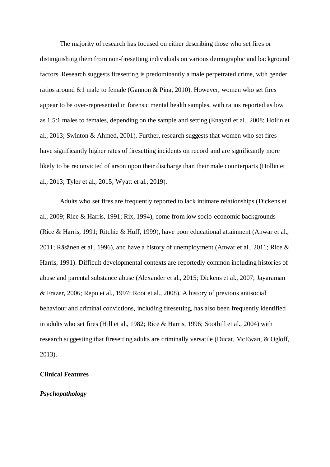The majority of research has focused on either describing those who set fires or distinguishing them from non-firesetting individuals on various demographic and background factors. Research suggests firesetting is predominantly a male perpetrated crime, with gender ratios around 6:1 male to female (Gannon & Pina, 2010). However, women who set fires appear to be over-represented in forensic mental health samples, with ratios reported as low as 1.5:1 males to females, depending on the sample and setting (Enayati et al., 2008; Hollin et al., 2013; Swinton & Ahmed, 2001). Further, research suggests that women who set fires have significantly higher rates of firesetting incidents on record and are significantly more likely to be reconvicted of arson upon their discharge than their male counterparts (Hollin et al., 2013; Tyler et al., 2015; Wyatt et al., 2019).

Adults who set fires are frequently reported to lack intimate relationships (Dickens et al., 2009; Rice & Harris, 1991; Rix, 1994), come from low socio-economic backgrounds (Rice & Harris, 1991; Ritchie & Huff, 1999), have poor educational attainment (Anwar et al., 2011; Räsänen et al., 1996), and have a history of unemployment (Anwar et al., 2011; Rice & Harris, 1991). Difficult developmental contexts are reportedly common including histories of abuse and parental substance abuse (Alexander et al., 2015; Dickens et al., 2007; Jayaraman & Frazer, 2006; Repo et al., 1997; Root et al., 2008). A history of previous antisocial behaviour and criminal convictions, including firesetting, has also been frequently identified in adults who set fires (Hill et al., 1982; Rice & Harris, 1996; Soothill et al., 2004) with research suggesting that firesetting adults are criminally versatile (Ducat, McEwan, & Ogloff, 2013).

# **Clinical Features**

## *Psychopathology*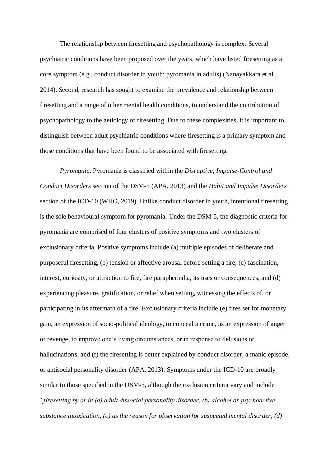The relationship between firesetting and psychopathology is complex. Several psychiatric conditions have been proposed over the years, which have listed firesetting as a core symptom (e.g., conduct disorder in youth; pyromania in adults) (Nanayakkara et al., 2014). Second, research has sought to examine the prevalence and relationship between firesetting and a range of other mental health conditions, to understand the contribution of psychopathology to the aetiology of firesetting. Due to these complexities, it is important to distinguish between adult psychiatric conditions where firesetting is a primary symptom and those conditions that have been found to be associated with firesetting.

*Pyromania.* Pyromania is classified within the *Disruptive, Impulse-Control and Conduct Disorders* section of the DSM-5 (APA, 2013) and the *Habit and Impulse Disorders*  section of the ICD-10 (WHO, 2019). Unlike conduct disorder in youth, intentional firesetting is the sole behavioural symptom for pyromania. Under the DSM-5, the diagnostic criteria for pyromania are comprised of four clusters of positive symptoms and two clusters of exclusionary criteria. Positive symptoms include (a) multiple episodes of deliberate and purposeful firesetting, (b) tension or affective arousal before setting a fire, (c) fascination, interest, curiosity, or attraction to fire, fire paraphernalia, its uses or consequences, and (d) experiencing pleasure, gratification, or relief when setting, witnessing the effects of, or participating in its aftermath of a fire. Exclusionary criteria include (e) fires set for monetary gain, an expression of socio-political ideology, to conceal a crime, as an expression of anger or revenge, to improve one's living circumstances, or in response to delusions or hallucinations, and (f) the firesetting is better explained by conduct disorder, a manic episode, or antisocial personality disorder (APA, 2013). Symptoms under the ICD-10 are broadly similar to those specified in the DSM-5, although the exclusion criteria vary and include *"firesetting by or in (a) adult dissocial personality disorder, (b) alcohol or psychoactive substance intoxication, (c) as the reason for observation for suspected mental disorder, (d)*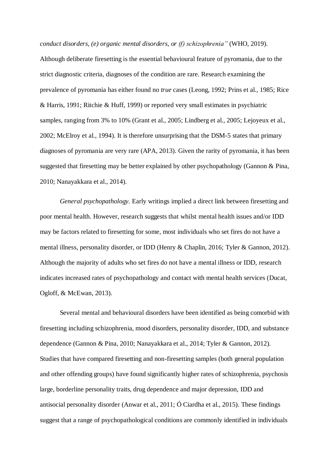*conduct disorders, (e) organic mental disorders, or (f) schizophrenia"* (WHO, 2019). Although deliberate firesetting is the essential behavioural feature of pyromania, due to the strict diagnostic criteria, diagnoses of the condition are rare. Research examining the prevalence of pyromania has either found no *true* cases (Leong, 1992; Prins et al., 1985; Rice & Harris, 1991; Ritchie & Huff, 1999) or reported very small estimates in psychiatric samples, ranging from 3% to 10% (Grant et al., 2005; Lindberg et al., 2005; Lejoyeux et al., 2002; McElroy et al., 1994). It is therefore unsurprising that the DSM-5 states that primary diagnoses of pyromania are very rare (APA, 2013). Given the rarity of pyromania, it has been suggested that firesetting may be better explained by other psychopathology (Gannon & Pina, 2010; Nanayakkara et al., 2014).

*General psychopathology.* Early writings implied a direct link between firesetting and poor mental health. However, research suggests that whilst mental health issues and/or IDD may be factors related to firesetting for some, most individuals who set fires do not have a mental illness, personality disorder, or IDD (Henry & Chaplin, 2016; Tyler & Gannon, 2012). Although the majority of adults who set fires do not have a mental illness or IDD, research indicates increased rates of psychopathology and contact with mental health services (Ducat, Ogloff, & McEwan, 2013).

Several mental and behavioural disorders have been identified as being comorbid with firesetting including schizophrenia, mood disorders, personality disorder, IDD, and substance dependence (Gannon & Pina, 2010; Nanayakkara et al., 2014; Tyler & Gannon, 2012). Studies that have compared firesetting and non-firesetting samples (both general population and other offending groups) have found significantly higher rates of schizophrenia, psychosis large, borderline personality traits, drug dependence and major depression, IDD and antisocial personality disorder (Anwar et al., 2011; Ó Ciardha et al., 2015). These findings suggest that a range of psychopathological conditions are commonly identified in individuals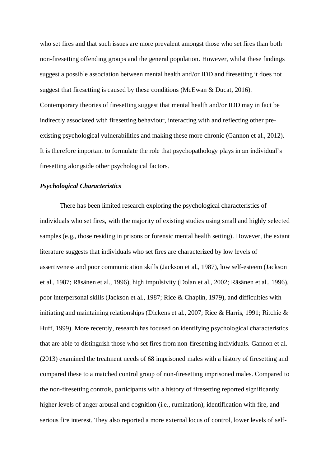who set fires and that such issues are more prevalent amongst those who set fires than both non-firesetting offending groups and the general population. However, whilst these findings suggest a possible association between mental health and/or IDD and firesetting it does not suggest that firesetting is caused by these conditions (McEwan & Ducat, 2016). Contemporary theories of firesetting suggest that mental health and/or IDD may in fact be indirectly associated with firesetting behaviour, interacting with and reflecting other preexisting psychological vulnerabilities and making these more chronic (Gannon et al., 2012). It is therefore important to formulate the role that psychopathology plays in an individual's firesetting alongside other psychological factors.

# *Psychological Characteristics*

There has been limited research exploring the psychological characteristics of individuals who set fires, with the majority of existing studies using small and highly selected samples (e.g., those residing in prisons or forensic mental health setting). However, the extant literature suggests that individuals who set fires are characterized by low levels of assertiveness and poor communication skills (Jackson et al., 1987), low self-esteem (Jackson et al., 1987; Räsänen et al., 1996), high impulsivity (Dolan et al., 2002; Räsänen et al., 1996), poor interpersonal skills (Jackson et al., 1987; Rice & Chaplin, 1979), and difficulties with initiating and maintaining relationships (Dickens et al., 2007; Rice & Harris, 1991; Ritchie & Huff, 1999). More recently, research has focused on identifying psychological characteristics that are able to distinguish those who set fires from non-firesetting individuals. Gannon et al. (2013) examined the treatment needs of 68 imprisoned males with a history of firesetting and compared these to a matched control group of non-firesetting imprisoned males. Compared to the non-firesetting controls, participants with a history of firesetting reported significantly higher levels of anger arousal and cognition (i.e., rumination), identification with fire, and serious fire interest. They also reported a more external locus of control, lower levels of self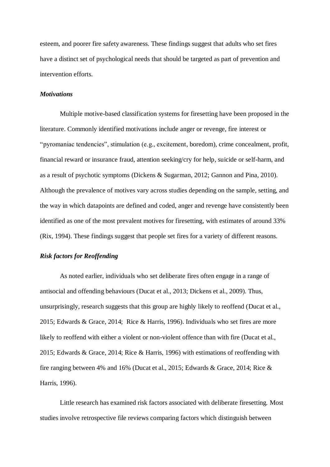esteem, and poorer fire safety awareness. These findings suggest that adults who set fires have a distinct set of psychological needs that should be targeted as part of prevention and intervention efforts.

# *Motivations*

Multiple motive-based classification systems for firesetting have been proposed in the literature. Commonly identified motivations include anger or revenge, fire interest or "pyromaniac tendencies", stimulation (e.g., excitement, boredom), crime concealment, profit, financial reward or insurance fraud, attention seeking/cry for help, suicide or self-harm, and as a result of psychotic symptoms (Dickens & Sugarman, 2012; Gannon and Pina, 2010). Although the prevalence of motives vary across studies depending on the sample, setting, and the way in which datapoints are defined and coded, anger and revenge have consistently been identified as one of the most prevalent motives for firesetting, with estimates of around 33% (Rix, 1994). These findings suggest that people set fires for a variety of different reasons.

# *Risk factors for Reoffending*

As noted earlier, individuals who set deliberate fires often engage in a range of antisocial and offending behaviours (Ducat et al., 2013; Dickens et al., 2009). Thus, unsurprisingly, research suggests that this group are highly likely to reoffend (Ducat et al., 2015; Edwards & Grace, 2014; Rice & Harris, 1996). Individuals who set fires are more likely to reoffend with either a violent or non-violent offence than with fire (Ducat et al., 2015; Edwards & Grace, 2014; Rice & Harris, 1996) with estimations of reoffending with fire ranging between 4% and 16% (Ducat et al., 2015; Edwards & Grace, 2014; Rice & Harris, 1996).

Little research has examined risk factors associated with deliberate firesetting. Most studies involve retrospective file reviews comparing factors which distinguish between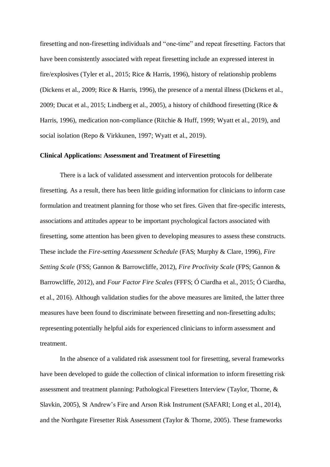firesetting and non-firesetting individuals and "one-time" and repeat firesetting. Factors that have been consistently associated with repeat firesetting include an expressed interest in fire/explosives (Tyler et al., 2015; Rice & Harris, 1996), history of relationship problems (Dickens et al., 2009; Rice & Harris, 1996), the presence of a mental illness (Dickens et al., 2009; Ducat et al., 2015; Lindberg et al., 2005), a history of childhood firesetting (Rice & Harris, 1996), medication non-compliance (Ritchie & Huff, 1999; Wyatt et al., 2019), and social isolation (Repo & Virkkunen, 1997; Wyatt et al., 2019).

## **Clinical Applications: Assessment and Treatment of Firesetting**

There is a lack of validated assessment and intervention protocols for deliberate firesetting. As a result, there has been little guiding information for clinicians to inform case formulation and treatment planning for those who set fires. Given that fire-specific interests, associations and attitudes appear to be important psychological factors associated with firesetting, some attention has been given to developing measures to assess these constructs. These include the *Fire-setting Assessment Schedule* (FAS; Murphy & Clare, 1996), *Fire Setting Scale* (FSS; Gannon & Barrowcliffe, 2012), *Fire Proclivity Scale* (FPS; Gannon & Barrowcliffe, 2012), and *Four Factor Fire Scales* (FFFS; Ó Ciardha et al., 2015; Ó Ciardha, et al., 2016). Although validation studies for the above measures are limited, the latter three measures have been found to discriminate between firesetting and non-firesetting adults; representing potentially helpful aids for experienced clinicians to inform assessment and treatment.

In the absence of a validated risk assessment tool for firesetting, several frameworks have been developed to guide the collection of clinical information to inform firesetting risk assessment and treatment planning: Pathological Firesetters Interview (Taylor, Thorne, & Slavkin, 2005), St Andrew's Fire and Arson Risk Instrument (SAFARI; Long et al., 2014), and the Northgate Firesetter Risk Assessment (Taylor & Thorne, 2005). These frameworks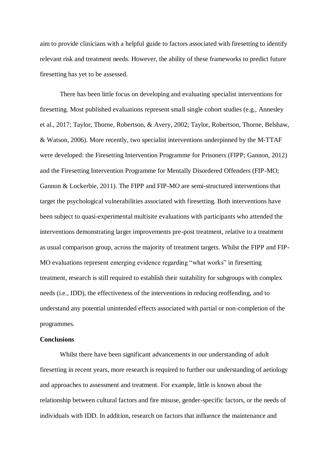aim to provide clinicians with a helpful guide to factors associated with firesetting to identify relevant risk and treatment needs. However, the ability of these frameworks to predict future firesetting has yet to be assessed.

There has been little focus on developing and evaluating specialist interventions for firesetting. Most published evaluations represent small single cohort studies (e.g., Annesley et al., 2017; Taylor, Thorne, Robertson, & Avery, 2002; Taylor, Robertson, Thorne, Belshaw, & Watson, 2006). More recently, two specialist interventions underpinned by the M-TTAF were developed: the Firesetting Intervention Programme for Prisoners (FIPP; Gannon, 2012) and the Firesetting Intervention Programme for Mentally Disordered Offenders (FIP-MO; Gannon & Lockerbie, 2011). The FIPP and FIP-MO are semi-structured interventions that target the psychological vulnerabilities associated with firesetting. Both interventions have been subject to quasi-experimental multisite evaluations with participants who attended the interventions demonstrating larger improvements pre-post treatment, relative to a treatment as usual comparison group, across the majority of treatment targets. Whilst the FIPP and FIP-MO evaluations represent emerging evidence regarding "what works" in firesetting treatment, research is still required to establish their suitability for subgroups with complex needs (i.e., IDD), the effectiveness of the interventions in reducing reoffending, and to understand any potential unintended effects associated with partial or non-completion of the programmes.

# **Conclusions**

Whilst there have been significant advancements in our understanding of adult firesetting in recent years, more research is required to further our understanding of aetiology and approaches to assessment and treatment. For example, little is known about the relationship between cultural factors and fire misuse, gender-specific factors, or the needs of individuals with IDD. In addition, research on factors that influence the maintenance and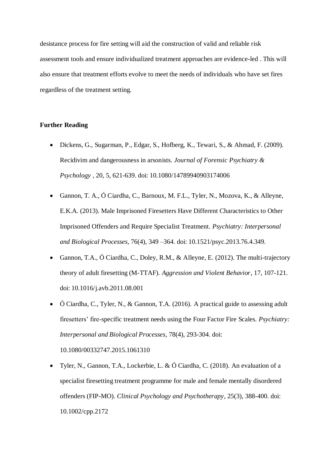desistance process for fire setting will aid the construction of valid and reliable risk assessment tools and ensure individualized treatment approaches are evidence-led . This will also ensure that treatment efforts evolve to meet the needs of individuals who have set fires regardless of the treatment setting.

# **Further Reading**

- Dickens, G., Sugarman, P., Edgar, S., Hofberg, K., Tewari, S., & Ahmad, F. (2009). Recidivim and dangerousness in arsonists. *Journal of Forensic Psychiatry & Psychology ,* 20, 5, 621-639. doi: 10.1080/14789940903174006
- Gannon, T. A., Ó Ciardha, C., Barnoux, M. F.L., Tyler, N., Mozova, K., & Alleyne, E.K.A. (2013). Male Imprisoned Firesetters Have Different Characteristics to Other Imprisoned Offenders and Require Specialist Treatment. *Psychiatry: Interpersonal and Biological Processes*, 76(4), 349 –364. doi: 10.1521/psyc.2013.76.4.349.
- Gannon, T.A., Ó Ciardha, C., Doley, R.M., & Alleyne, E. (2012). The multi-trajectory theory of adult firesetting (M-TTAF). *Aggression and Violent Behavior*, 17, 107-121. doi: 10.1016/j.avb.2011.08.001
- Ó Ciardha, C., Tyler, N., & Gannon, T.A. (2016). A practical guide to assessing adult firesetters' fire-specific treatment needs using the Four Factor Fire Scales. *Psychiatry: Interpersonal and Biological Processes*, 78(4), 293-304. doi:

10.1080/00332747.2015.1061310

 Tyler, N., Gannon, T.A., Lockerbie, L. & Ó Ciardha, C. (2018). An evaluation of a specialist firesetting treatment programme for male and female mentally disordered offenders (FIP-MO). *Clinical Psychology and Psychotherapy*, 25(3), 388-400. doi: 10.1002/cpp.2172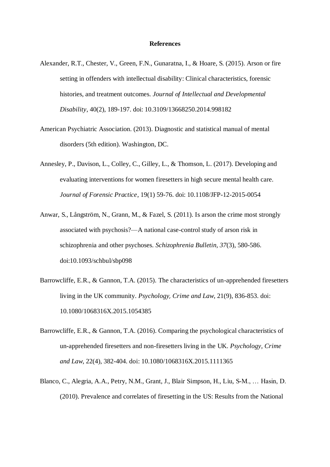#### **References**

- Alexander, R.T., Chester, V., Green, F.N., Gunaratna, I., & Hoare, S. (2015). Arson or fire setting in offenders with intellectual disability: Clinical characteristics, forensic histories, and treatment outcomes. *Journal of Intellectual and Developmental Disability*, 40(2), 189-197. doi: 10.3109/13668250.2014.998182
- American Psychiatric Association. (2013). Diagnostic and statistical manual of mental disorders (5th edition). Washington, DC.
- Annesley, P., Davison, L., Colley, C., Gilley, L., & Thomson, L. (2017). Developing and evaluating interventions for women firesetters in high secure mental health care. *Journal of Forensic Practice*, 19(1) 59-76. doi: 10.1108/JFP-12-2015-0054
- Anwar, S., Långström, N., Grann, M., & Fazel, S. (2011). Is arson the crime most strongly associated with psychosis?—A national case-control study of arson risk in schizophrenia and other psychoses. *Schizophrenia Bulletin, 37*(3), 580-586. doi:10.1093/schbul/sbp098
- Barrowcliffe, E.R., & Gannon, T.A. (2015). The characteristics of un-apprehended firesetters living in the UK community. *Psychology, Crime and Law*, 21(9), 836-853. doi: 10.1080/1068316X.2015.1054385
- Barrowcliffe, E.R., & Gannon, T.A. (2016). Comparing the psychological characteristics of un-apprehended firesetters and non-firesetters living in the UK. *Psychology, Crime and Law*, 22(4), 382-404. doi: 10.1080/1068316X.2015.1111365
- Blanco, C., Alegria, A.A., Petry, N.M., Grant, J., Blair Simpson, H., Liu, S-M., … Hasin, D. (2010). Prevalence and correlates of firesetting in the US: Results from the National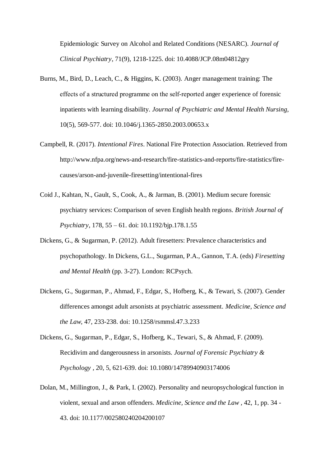Epidemiologic Survey on Alcohol and Related Conditions (NESARC). *Journal of Clinical Psychiatry*, 71(9), 1218-1225. doi: 10.4088/JCP.08m04812gry

- Burns, M., Bird, D., Leach, C., & Higgins, K. (2003). Anger management training: The effects of a structured programme on the self‐reported anger experience of forensic inpatients with learning disability. *Journal of Psychiatric and Mental Health Nursing,* 10(5), 569-577. doi: 10.1046/j.1365-2850.2003.00653.x
- Campbell, R. (2017). *Intentional Fires*. National Fire Protection Association. Retrieved from http://www.nfpa.org/news-and-research/fire-statistics-and-reports/fire-statistics/firecauses/arson-and-juvenile-firesetting/intentional-fires
- Coid J., Kahtan, N., Gault, S., Cook, A., & Jarman, B. (2001). Medium secure forensic psychiatry services: Comparison of seven English health regions. *British Journal of Psychiatry*, 178, 55 – 61. doi: 10.1192/bjp.178.1.55
- Dickens, G., & Sugarman, P. (2012). Adult firesetters: Prevalence characteristics and psychopathology. In Dickens, G.L., Sugarman, P.A., Gannon, T.A. (eds) *Firesetting and Mental Health* (pp. 3-27). London: RCPsych.
- Dickens, G., Sugarman, P., Ahmad, F., Edgar, S., Hofberg, K., & Tewari, S. (2007). Gender differences amongst adult arsonists at psychiatric assessment. *Medicine, Science and the Law,* 47, 233-238. doi: 10.1258/rsmmsl.47.3.233
- Dickens, G., Sugarman, P., Edgar, S., Hofberg, K., Tewari, S., & Ahmad, F. (2009). Recidivim and dangerousness in arsonists. *Journal of Forensic Psychiatry & Psychology ,* 20, 5, 621-639. doi: 10.1080/14789940903174006
- Dolan, M., Millington, J., & Park, I. (2002). Personality and neuropsychological function in violent, sexual and arson offenders. *Medicine, Science and the Law ,* 42, 1, pp. 34 - 43. doi: 10.1177/002580240204200107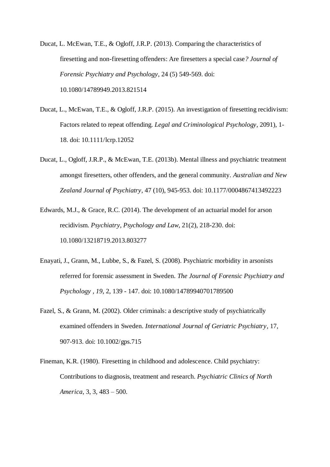Ducat, L. McEwan, T.E., & Ogloff, J.R.P. (2013). Comparing the characteristics of firesetting and non-firesetting offenders: Are firesetters a special case*? Journal of Forensic Psychiatry and Psychology*, 24 (5) 549-569. doi: 10.1080/14789949.2013.821514

- Ducat, L., McEwan, T.E., & Ogloff, J.R.P. (2015). An investigation of firesetting recidivism: Factors related to repeat offending. *Legal and Criminological Psychology*, 2091), 1- 18. doi: 10.1111/lcrp.12052
- Ducat, L., Ogloff, J.R.P., & McEwan, T.E. (2013b). Mental illness and psychiatric treatment amongst firesetters, other offenders, and the general community. *Australian and New Zealand Journal of Psychiatry*, 47 (10), 945-953. doi: 10.1177/0004867413492223
- Edwards, M.J., & Grace, R.C. (2014). The development of an actuarial model for arson recidivism. *Psychiatry, Psychology and Law*, 21(2), 218-230. doi: 10.1080/13218719.2013.803277
- Enayati, J., Grann, M., Lubbe, S., & Fazel, S. (2008). Psychiatric morbidity in arsonists referred for forensic assessment in Sweden. *The Journal of Forensic Psychiatry and Psychology , 19*, 2, 139 - 147. doi: 10.1080/14789940701789500
- Fazel, S., & Grann, M. (2002). Older criminals: a descriptive study of psychiatrically examined offenders in Sweden. *International Journal of Geriatric Psychiatry*, 17, 907-913. doi: 10.1002/gps.715
- Fineman, K.R. (1980). Firesetting in childhood and adolescence. Child psychiatry: Contributions to diagnosis, treatment and research. *Psychiatric Clinics of North America*, 3, 3, 483 – 500.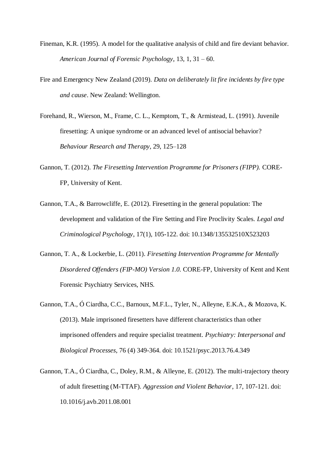- Fineman, K.R. (1995). A model for the qualitative analysis of child and fire deviant behavior. *American Journal of Forensic Psychology*, 13, 1, 31 – 60.
- Fire and Emergency New Zealand (2019). *Data on deliberately lit fire incidents by fire type and cause*. New Zealand: Wellington.
- Forehand, R., Wierson, M., Frame, C. L., Kemptom, T., & Armistead, L. (1991). Juvenile firesetting: A unique syndrome or an advanced level of antisocial behavior? *Behaviour Research and Therapy*, 29, 125–128
- Gannon, T. (2012). *The Firesetting Intervention Programme for Prisoners (FIPP).* CORE-FP, University of Kent.
- Gannon, T.A., & Barrowcliffe, E. (2012). Firesetting in the general population: The development and validation of the Fire Setting and Fire Proclivity Scales. *Legal and Criminological Psychology*, 17(1), 105-122. doi: 10.1348/135532510X523203
- Gannon, T. A., & Lockerbie, L. (2011). *Firesetting Intervention Programme for Mentally Disordered Offenders (FIP-MO) Version 1.0.* CORE-FP, University of Kent and Kent Forensic Psychiatry Services, NHS.
- Gannon, T.A., Ó Ciardha, C.C., Barnoux, M.F.L., Tyler, N., Alleyne, E.K.A., & Mozova, K. (2013). Male imprisoned firesetters have different characteristics than other imprisoned offenders and require specialist treatment*. Psychiatry: Interpersonal and Biological Processes*, 76 (4) 349-364. doi: 10.1521/psyc.2013.76.4.349
- Gannon, T.A., Ó Ciardha, C., Doley, R.M., & Alleyne, E. (2012). The multi-trajectory theory of adult firesetting (M-TTAF). *Aggression and Violent Behavior*, 17, 107-121. doi: 10.1016/j.avb.2011.08.001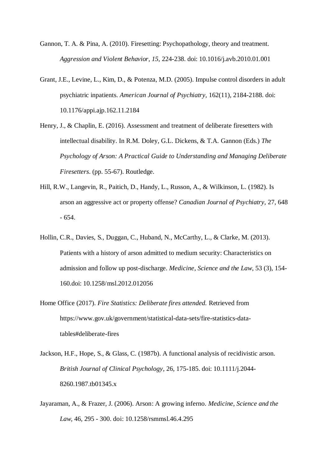- Gannon, T. A. & Pina, A. (2010). Firesetting: Psychopathology, theory and treatment*. Aggression and Violent Behavior, 15,* 224-238. doi: 10.1016/j.avb.2010.01.001
- Grant, J.E., Levine, L., Kim, D., & Potenza, M.D. (2005). Impulse control disorders in adult psychiatric inpatients. *American Journal of Psychiatry,* 162(11), 2184-2188. doi: 10.1176/appi.ajp.162.11.2184
- Henry, J., & Chaplin, E. (2016). Assessment and treatment of deliberate firesetters with intellectual disability. In R.M. Doley, G.L. Dickens, & T.A. Gannon (Eds.) *The Psychology of Arson: A Practical Guide to Understanding and Managing Deliberate Firesetters*. (pp. 55-67). Routledge.
- Hill, R.W., Langevin, R., Paitich, D., Handy, L., Russon, A., & Wilkinson, L. (1982). Is arson an aggressive act or property offense? *Canadian Journal of Psychiatry,* 27, 648 - 654.
- Hollin, C.R., Davies, S., Duggan, C., Huband, N., McCarthy, L., & Clarke, M. (2013). Patients with a history of arson admitted to medium security: Characteristics on admission and follow up post-discharge. *Medicine, Science and the Law*, 53 (3), 154- 160.doi: 10.1258/msl.2012.012056
- Home Office (2017). *Fire Statistics: Deliberate fires attended.* Retrieved from https://www.gov.uk/government/statistical-data-sets/fire-statistics-datatables#deliberate-fires
- Jackson, H.F., Hope, S., & Glass, C. (1987b). A functional analysis of recidivistic arson. *British Journal of Clinical Psychology*, 26, 175-185. doi: 10.1111/j.2044- 8260.1987.tb01345.x
- Jayaraman, A., & Frazer, J. (2006). Arson: A growing inferno. *Medicine, Science and the Law,* 46, 295 - 300. doi: 10.1258/rsmmsl.46.4.295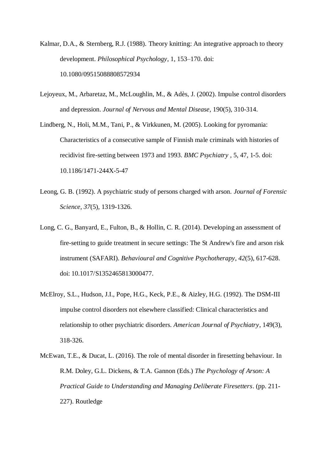- Kalmar, D.A., & Sternberg, R.J. (1988). Theory knitting: An integrative approach to theory development. *Philosophical Psychology*, 1, 153–170. doi: 10.1080/09515088808572934
- Lejoyeux, M., Arbaretaz, M., McLoughlin, M., & Adès, J. (2002). Impulse control disorders and depression. *Journal of Nervous and Mental Disease,* 190(5), 310-314.
- Lindberg, N., Holi, M.M., Tani, P., & Virkkunen, M. (2005). Looking for pyromania: Characteristics of a consecutive sample of Finnish male criminals with histories of recidivist fire-setting between 1973 and 1993. *BMC Psychiatry ,* 5, 47, 1-5. doi: 10.1186/1471-244X-5-47
- Leong, G. B. (1992). A psychiatric study of persons charged with arson. *Journal of Forensic Science, 37*(5), 1319-1326.
- Long, C. G., Banyard, E., Fulton, B., & Hollin, C. R. (2014). Developing an assessment of fire-setting to guide treatment in secure settings: The St Andrew's fire and arson risk instrument (SAFARI). *Behavioural and Cognitive Psychotherapy*, *42*(5), 617-628. doi: 10.1017/S1352465813000477.
- McElroy, S.L., Hudson, J.I., Pope, H.G., Keck, P.E., & Aizley, H.G. (1992). The DSM-III impulse control disorders not elsewhere classified: Clinical characteristics and relationship to other psychiatric disorders. *American Journal of Psychiatry*, 149(3), 318-326.
- McEwan, T.E., & Ducat, L. (2016). The role of mental disorder in firesetting behaviour. In R.M. Doley, G.L. Dickens, & T.A. Gannon (Eds.) *The Psychology of Arson: A Practical Guide to Understanding and Managing Deliberate Firesetters*. (pp. 211- 227). Routledge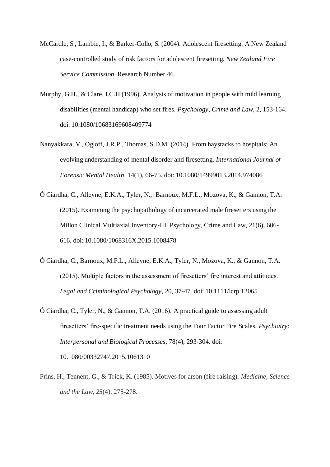- McCardle, S., Lambie, I., & Barker-Collo, S. (2004). Adolescent firesetting: A New Zealand case-controlled study of risk factors for adolescent firesetting. *New Zealand Fire Service Commission*. Research Number 46.
- Murphy, G.H., & Clare, I.C.H (1996). Analysis of motivation in people with mild learning disabilities (mental handicap) who set fires. *Psychology, Crime and Law*, 2, 153-164. doi: 10.1080/10683169608409774
- Nanyakkara, V., Ogloff, J.R.P., Thomas, S.D.M. (2014). From haystacks to hospitals: An evolving understanding of mental disorder and firesetting. *International Journal of Forensic Mental Health*, 14(1), 66-75. doi: 10.1080/14999013.2014.974086
- Ó Ciardha, C., Alleyne, E.K.A., Tyler, N., Barnoux, M.F.L., Mozova, K., & Gannon, T.A. (2015). Examining the psychopathology of incarcerated male firesetters using the Millon Clinical Multiaxial Inventory-III. Psychology, Crime and Law, 21(6), 606- 616. doi: 10.1080/1068316X.2015.1008478
- Ó Ciardha, C., Barnoux, M.F.L., Alleyne, E.K.A., Tyler, N., Mozova, K., & Gannon, T.A. (2015). Multiple factors in the assessment of firesetters' fire interest and attitudes. *Legal and Criminological Psychology*, 20, 37-47. doi: 10.1111/lcrp.12065
- Ó Ciardha, C., Tyler, N., & Gannon, T.A. (2016). A practical guide to assessing adult firesetters' fire-specific treatment needs using the Four Factor Fire Scales. *Psychiatry: Interpersonal and Biological Processes*, 78(4), 293-304. doi: 10.1080/00332747.2015.1061310
- Prins, H., Tennent, G., & Trick, K. (1985). Motives for arson (fire raising). *Medicine, Science and the Law*, *25*(4), 275-278.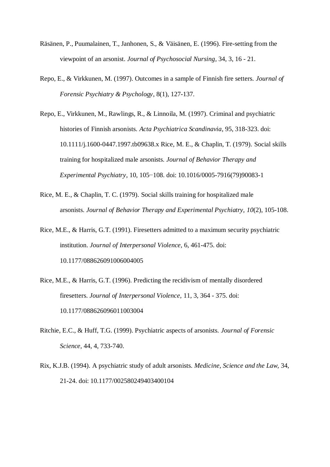- Räsänen, P., Puumalainen, T., Janhonen, S., & Väisänen, E. (1996). Fire-setting from the viewpoint of an arsonist. *Journal of Psychosocial Nursing,* 34, 3, 16 - 21.
- Repo, E., & Virkkunen, M. (1997). Outcomes in a sample of Finnish fire setters. *Journal of Forensic Psychiatry & Psychology*, 8(1), 127-137.
- Repo, E., Virkkunen, M., Rawlings, R., & Linnoila, M. (1997). Criminal and psychiatric histories of Finnish arsonists. *Acta Psychiatrica Scandinavia*, 95, 318-323. doi: 10.1111/j.1600-0447.1997.tb09638.x Rice, M. E., & Chaplin, T. (1979). Social skills training for hospitalized male arsonists. *Journal of Behavior Therapy and Experimental Psychiatry*, 10, 105−108. doi: 10.1016/0005-7916(79)90083-1
- Rice, M. E., & Chaplin, T. C. (1979). Social skills training for hospitalized male arsonists. *Journal of Behavior Therapy and Experimental Psychiatry, 10*(2), 105-108.

Rice, M.E., & Harris, G.T. (1991). Firesetters admitted to a maximum security psychiatric institution. *Journal of Interpersonal Violence,* 6, 461-475. doi: 10.1177/088626091006004005

- Rice, M.E., & Harris, G.T. (1996). Predicting the recidivism of mentally disordered firesetters. *Journal of Interpersonal Violence,* 11, 3, 364 - 375. doi: 10.1177/088626096011003004
- Ritchie, E.C., & Huff, T.G. (1999). Psychiatric aspects of arsonists. *Journal of Forensic Science,* 44, 4, 733-740.
- Rix, K.J.B. (1994). A psychiatric study of adult arsonists. *Medicine, Science and the Law,* 34, 21-24. doi: 10.1177/002580249403400104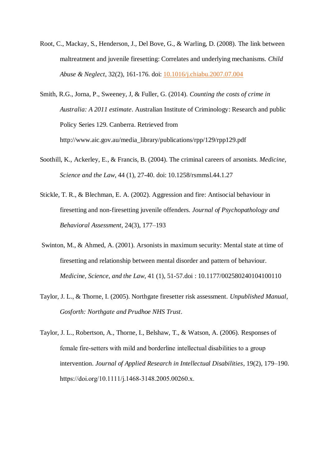Root, C., Mackay, S., Henderson, J., Del Bove, G., & Warling, D. (2008). The link between maltreatment and juvenile firesetting: Correlates and underlying mechanisms. *Child Abuse & Neglect*, 32(2), 161-176. doi: [10.1016/j.chiabu.2007.07.004](https://doi.org/10.1016/j.chiabu.2007.07.004)

Smith, R.G., Jorna, P., Sweeney, J, & Fuller, G. (2014). *Counting the costs of crime in Australia: A 2011 estimate*. Australian Institute of Criminology: Research and public Policy Series 129. Canberra. Retrieved from http://www.aic.gov.au/media\_library/publications/rpp/129/rpp129.pdf

- Soothill, K., Ackerley, E., & Francis, B. (2004). The criminal careers of arsonists. *Medicine, Science and the Law*, 44 (1), 27-40. doi: 10.1258/rsmmsl.44.1.27
- Stickle, T. R., & Blechman, E. A. (2002). Aggression and fire: Antisocial behaviour in firesetting and non-firesetting juvenile offenders. *Journal of Psychopathology and Behavioral Assessment,* 24(3), 177–193
- Swinton, M., & Ahmed, A. (2001). Arsonists in maximum security: Mental state at time of firesetting and relationship between mental disorder and pattern of behaviour. *Medicine, Science, and the Law*, 41 (1), 51-57.doi : 10.1177/002580240104100110
- Taylor, J. L., & Thorne, I. (2005). Northgate firesetter risk assessment. *Unpublished Manual, Gosforth: Northgate and Prudhoe NHS Trust*.
- Taylor, J. L., Robertson, A., Thorne, I., Belshaw, T., & Watson, A. (2006). Responses of female fire‐setters with mild and borderline intellectual disabilities to a group intervention. *Journal of Applied Research in Intellectual Disabilities*, 19(2), 179–190. https://doi.org/10.1111/j.1468‐3148.2005.00260.x.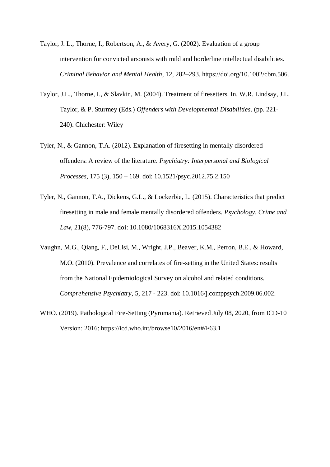- Taylor, J. L., Thorne, I., Robertson, A., & Avery, G. (2002). Evaluation of a group intervention for convicted arsonists with mild and borderline intellectual disabilities. *Criminal Behavior and Mental Health*, 12, 282–293. https://doi.org/10.1002/cbm.506.
- Taylor, J.L., Thorne, I., & Slavkin, M. (2004). Treatment of firesetters. In. W.R. Lindsay, J.L. Taylor, & P. Sturmey (Eds.) *Offenders with Developmental Disabilities*. (pp. 221- 240). Chichester: Wiley
- Tyler, N., & Gannon, T.A. (2012). Explanation of firesetting in mentally disordered offenders: A review of the literature. *Psychiatry: Interpersonal and Biological Processes,* 175 (3), 150 – 169. doi: 10.1521/psyc.2012.75.2.150
- Tyler, N., Gannon, T.A., Dickens, G.L., & Lockerbie, L. (2015). Characteristics that predict firesetting in male and female mentally disordered offenders. *Psychology, Crime and Law*, 21(8), 776-797. doi: 10.1080/1068316X.2015.1054382
- Vaughn, M.G., Qiang, F., DeLisi, M., Wright, J.P., Beaver, K.M., Perron, B.E., & Howard, M.O. (2010). Prevalence and correlates of fire-setting in the United States: results from the National Epidemiological Survey on alcohol and related conditions. *Comprehensive Psychiatry,* 5, 217 - 223. doi: 10.1016/j.comppsych.2009.06.002.
- WHO. (2019). Pathological Fire-Setting (Pyromania). Retrieved July 08, 2020, from ICD-10 Version: 2016: https://icd.who.int/browse10/2016/en#/F63.1